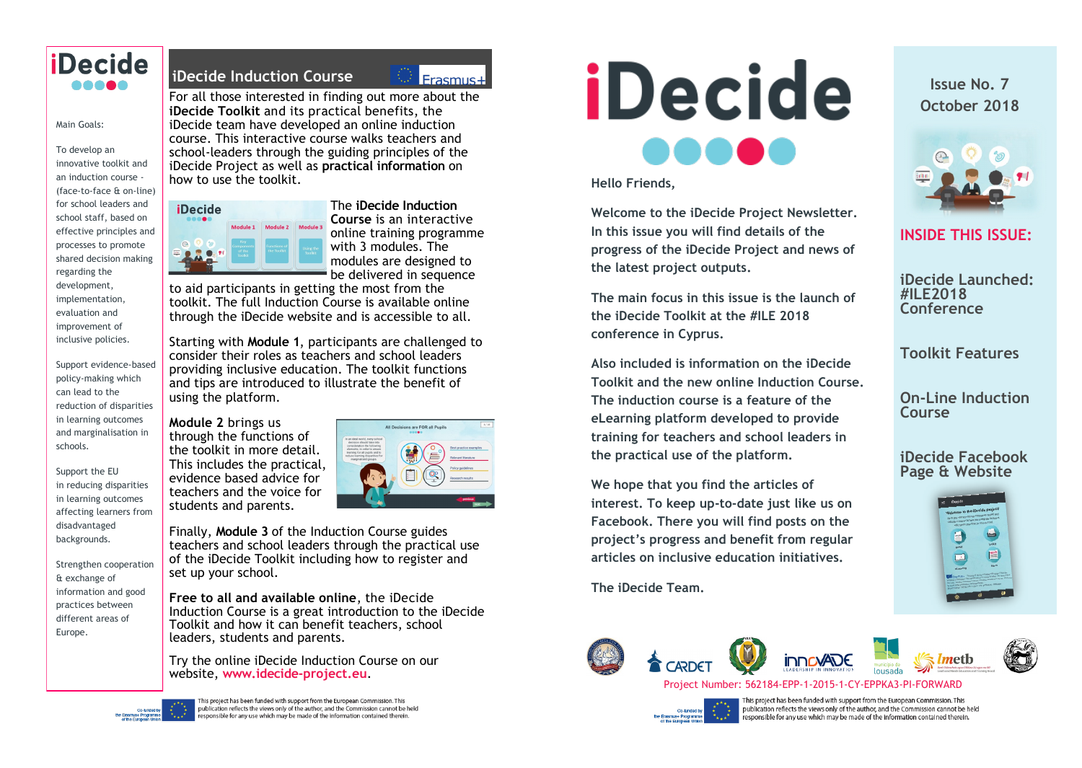

#### Main Goals:

To develop an innovative toolkit and an induction course - (face-to-face & on-line) for school leaders and school staff, based on effective principles and processes to promote shared decision making regarding the development, implementation, evaluation and improvement of inclusive policies.

Support evidence-based policy-making which can lead to the reduction of disparities in learning outcomes and marginalisation in schools.

Support the EU in reducing disparities in learning outcomes affecting learners from disadvantaged backgrounds.

Strengthen cooperation & exchange of information and good practices between different areas of Europe.

## **iDecide Induction Course**

 $Frasmus+$ 

For all those interested in finding out more about the **iDecide Toolkit** and its practical benefits, the iDecide team have developed an online induction course. This interactive course walks teachers and school-leaders through the guiding principles of the iDecide Project as well as **practical information** on how to use the toolkit.

| <b>iDecide</b><br>       |                                               |                                    |                             |
|--------------------------|-----------------------------------------------|------------------------------------|-----------------------------|
|                          | Module 1                                      | Module 2                           | Module 3                    |
| 20<br>$\circ$<br>靊<br>91 | Key<br><b>Components</b><br>of the<br>Toolkit | <b>Functions of</b><br>the Toolkit | Using the<br><b>Top</b> sit |

The **iDecide Induction Course** is an interactive online training programme with 3 modules. The modules are designed to be delivered in sequence

to aid participants in getting the most from the toolkit. The full Induction Course is available online through the iDecide website and is accessible to all.

Starting with **Module 1**, participants are challenged to consider their roles as teachers and school leaders providing inclusive education. The toolkit functions and tips are introduced to illustrate the benefit of using the platform.

**Module 2** brings us through the functions of the toolkit in more detail. This includes the practical, evidence based advice for teachers and the voice for students and parents.



Finally, **Module 3** of the Induction Course guides teachers and school leaders through the practical use of the iDecide Toolkit including how to register and set up your school.

**Free to all and available online**, the iDecide Induction Course is a great introduction to the iDecide Toolkit and how it can benefit teachers, school leaders, students and parents.

Try the online iDecide Induction Course on our website, **www.idecide-project.eu**.

This project has been funded with support from the European Commission. This publication reflects the views only of the author, and the Commission cannot be held .<br>responsible for any use which may be made of the information contained therein.

# *iDecide* 8886

**Hello Friends,**

**Welcome to the iDecide Project Newsletter. In this issue you will find details of the progress of the iDecide Project and news of the latest project outputs.**

**The main focus in this issue is the launch of the iDecide Toolkit at the #ILE 2018 conference in Cyprus.** 

**Also included is information on the iDecide Toolkit and the new online Induction Course. The induction course is a feature of the eLearning platform developed to provide training for teachers and school leaders in the practical use of the platform.**

**We hope that you find the articles of interest. To keep up-to-date just like us on Facebook. There you will find posts on the project's progress and benefit from regular articles on inclusive education initiatives.** 

**The iDecide Team.**

**Issue No. 7 October 2018**



**INSIDE THIS ISSUE:**

**iDecide Launched: #ILE2018 Conference**

**Toolkit Features**

**On-Line Induction Course**

**iDecide Facebook Page & Website**







This project has been funded with support from the European Commission. This publication reflects the views only of the author, and the Commission cannot be held responsible for any use which may be made of the information contained therein.